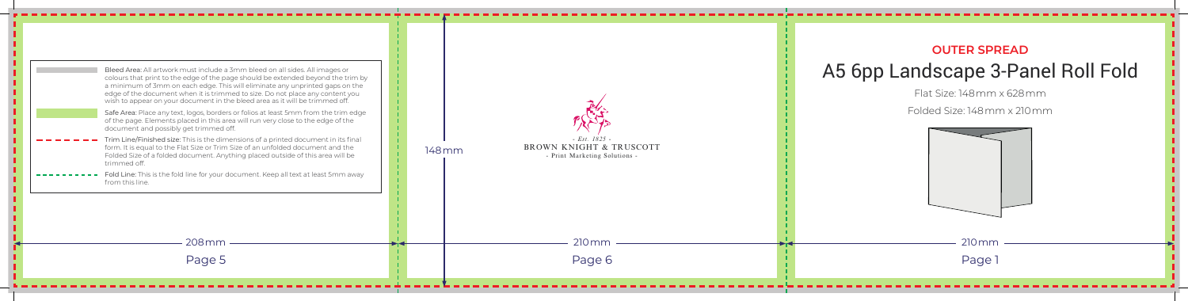